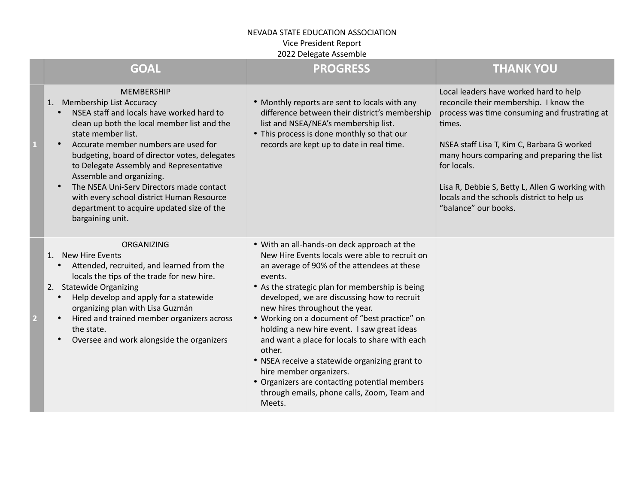## NEVADA STATE EDUCATION ASSOCIATION Vice President Report 2022 Delegate Assemble

|                | <b>GOAL</b>                                                                                                                                                                                                                                                                                                                                                                                                                                                                                  | <b>PROGRESS</b>                                                                                                                                                                                                                                                                                                                                                                                                                                                                                                                                                                                                                                | <b>THANK YOU</b>                                                                                                                                                                                                                                                                                                                                                                 |
|----------------|----------------------------------------------------------------------------------------------------------------------------------------------------------------------------------------------------------------------------------------------------------------------------------------------------------------------------------------------------------------------------------------------------------------------------------------------------------------------------------------------|------------------------------------------------------------------------------------------------------------------------------------------------------------------------------------------------------------------------------------------------------------------------------------------------------------------------------------------------------------------------------------------------------------------------------------------------------------------------------------------------------------------------------------------------------------------------------------------------------------------------------------------------|----------------------------------------------------------------------------------------------------------------------------------------------------------------------------------------------------------------------------------------------------------------------------------------------------------------------------------------------------------------------------------|
|                | <b>MEMBERSHIP</b><br>1. Membership List Accuracy<br>NSEA staff and locals have worked hard to<br>clean up both the local member list and the<br>state member list.<br>Accurate member numbers are used for<br>budgeting, board of director votes, delegates<br>to Delegate Assembly and Representative<br>Assemble and organizing.<br>The NSEA Uni-Serv Directors made contact<br>with every school district Human Resource<br>department to acquire updated size of the<br>bargaining unit. | • Monthly reports are sent to locals with any<br>difference between their district's membership<br>list and NSEA/NEA's membership list.<br>• This process is done monthly so that our<br>records are kept up to date in real time.                                                                                                                                                                                                                                                                                                                                                                                                             | Local leaders have worked hard to help<br>reconcile their membership. I know the<br>process was time consuming and frustrating at<br>times.<br>NSEA staff Lisa T, Kim C, Barbara G worked<br>many hours comparing and preparing the list<br>for locals.<br>Lisa R, Debbie S, Betty L, Allen G working with<br>locals and the schools district to help us<br>"balance" our books. |
| $\overline{2}$ | ORGANIZING<br>1. New Hire Events<br>Attended, recruited, and learned from the<br>$\bullet$<br>locals the tips of the trade for new hire.<br>2. Statewide Organizing<br>Help develop and apply for a statewide<br>organizing plan with Lisa Guzmán<br>Hired and trained member organizers across<br>$\bullet$<br>the state.<br>Oversee and work alongside the organizers                                                                                                                      | • With an all-hands-on deck approach at the<br>New Hire Events locals were able to recruit on<br>an average of 90% of the attendees at these<br>events.<br>• As the strategic plan for membership is being<br>developed, we are discussing how to recruit<br>new hires throughout the year.<br>• Working on a document of "best practice" on<br>holding a new hire event. I saw great ideas<br>and want a place for locals to share with each<br>other.<br>• NSEA receive a statewide organizing grant to<br>hire member organizers.<br>• Organizers are contacting potential members<br>through emails, phone calls, Zoom, Team and<br>Meets. |                                                                                                                                                                                                                                                                                                                                                                                  |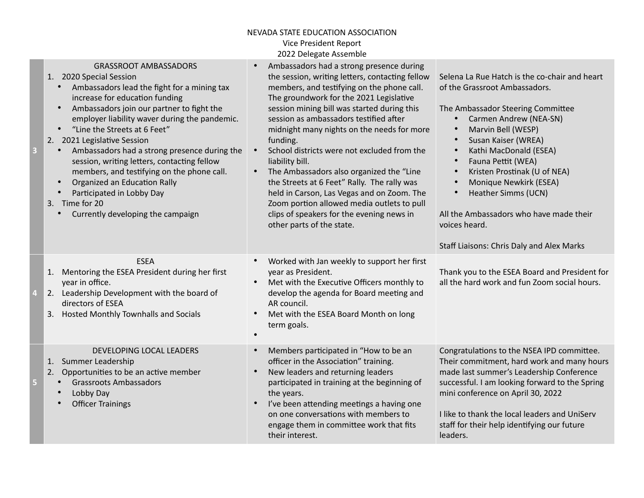## NEVADA STATE EDUCATION ASSOCIATION Vice President Report 2022 Delegate Assemble

| B | <b>GRASSROOT AMBASSADORS</b><br>1. 2020 Special Session<br>Ambassadors lead the fight for a mining tax<br>$\bullet$<br>increase for education funding<br>Ambassadors join our partner to fight the<br>$\bullet$<br>employer liability waver during the pandemic.<br>"Line the Streets at 6 Feet"<br>$\bullet$<br>2. 2021 Legislative Session<br>Ambassadors had a strong presence during the<br>$\bullet$<br>session, writing letters, contacting fellow<br>members, and testifying on the phone call.<br>Organized an Education Rally<br>$\bullet$<br>Participated in Lobby Day<br>$\bullet$<br>3. Time for 20<br>Currently developing the campaign | Ambassadors had a strong presence during<br>the session, writing letters, contacting fellow<br>members, and testifying on the phone call.<br>The groundwork for the 2021 Legislative<br>session mining bill was started during this<br>session as ambassadors testified after<br>midnight many nights on the needs for more<br>funding.<br>School districts were not excluded from the<br>liability bill.<br>The Ambassadors also organized the "Line<br>$\bullet$<br>the Streets at 6 Feet" Rally. The rally was<br>held in Carson, Las Vegas and on Zoom. The<br>Zoom portion allowed media outlets to pull<br>clips of speakers for the evening news in<br>other parts of the state. | Selena La Rue Hatch is the co-chair and heart<br>of the Grassroot Ambassadors.<br>The Ambassador Steering Committee<br>Carmen Andrew (NEA-SN)<br>$\bullet$<br>Marvin Bell (WESP)<br>$\bullet$<br>Susan Kaiser (WREA)<br>$\bullet$<br>Kathi MacDonald (ESEA)<br>$\bullet$<br>Fauna Pettit (WEA)<br>$\bullet$<br>Kristen Prostinak (U of NEA)<br>$\bullet$<br>Monique Newkirk (ESEA)<br>$\bullet$<br>Heather Simms (UCN)<br>$\bullet$<br>All the Ambassadors who have made their<br>voices heard.<br>Staff Liaisons: Chris Daly and Alex Marks |
|---|------------------------------------------------------------------------------------------------------------------------------------------------------------------------------------------------------------------------------------------------------------------------------------------------------------------------------------------------------------------------------------------------------------------------------------------------------------------------------------------------------------------------------------------------------------------------------------------------------------------------------------------------------|-----------------------------------------------------------------------------------------------------------------------------------------------------------------------------------------------------------------------------------------------------------------------------------------------------------------------------------------------------------------------------------------------------------------------------------------------------------------------------------------------------------------------------------------------------------------------------------------------------------------------------------------------------------------------------------------|----------------------------------------------------------------------------------------------------------------------------------------------------------------------------------------------------------------------------------------------------------------------------------------------------------------------------------------------------------------------------------------------------------------------------------------------------------------------------------------------------------------------------------------------|
|   | <b>ESEA</b><br>1. Mentoring the ESEA President during her first<br>year in office.<br>2. Leadership Development with the board of<br>directors of ESEA<br><b>Hosted Monthly Townhalls and Socials</b><br>3.                                                                                                                                                                                                                                                                                                                                                                                                                                          | Worked with Jan weekly to support her first<br>$\bullet$<br>year as President.<br>Met with the Executive Officers monthly to<br>$\bullet$<br>develop the agenda for Board meeting and<br>AR council.<br>Met with the ESEA Board Month on long<br>$\bullet$<br>term goals.                                                                                                                                                                                                                                                                                                                                                                                                               | Thank you to the ESEA Board and President for<br>all the hard work and fun Zoom social hours.                                                                                                                                                                                                                                                                                                                                                                                                                                                |
| 5 | DEVELOPING LOCAL LEADERS<br>1. Summer Leadership<br>Opportunities to be an active member<br>2.<br><b>Grassroots Ambassadors</b><br>Lobby Day<br><b>Officer Trainings</b><br>$\bullet$                                                                                                                                                                                                                                                                                                                                                                                                                                                                | Members participated in "How to be an<br>$\bullet$<br>officer in the Association" training.<br>New leaders and returning leaders<br>$\bullet$<br>participated in training at the beginning of<br>the years.<br>I've been attending meetings a having one<br>$\bullet$<br>on one conversations with members to<br>engage them in committee work that fits<br>their interest.                                                                                                                                                                                                                                                                                                             | Congratulations to the NSEA IPD committee.<br>Their commitment, hard work and many hours<br>made last summer's Leadership Conference<br>successful. I am looking forward to the Spring<br>mini conference on April 30, 2022<br>I like to thank the local leaders and UniServ<br>staff for their help identifying our future<br>leaders.                                                                                                                                                                                                      |